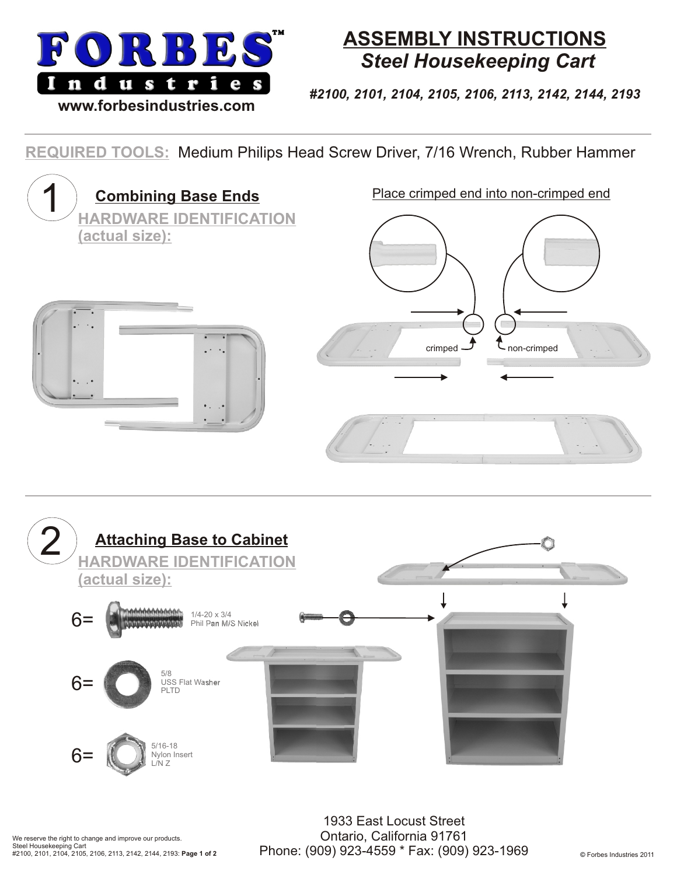

## **ASSEMBLY INSTRUCTIONS** *Steel Housekeeping Cart*

*#2100, 2101, 2104, 2105, 2106, 2113, 2142, 2144, 2193*

## **REQUIRED TOOLS:** Medium Philips Head Screw Driver, 7/16 Wrench, Rubber Hammer



1933 East Locust Street Ontario, California 91761 Phone: (909) 923-4559 \* Fax: (909) 923-1969 © Forbes Industries 2011